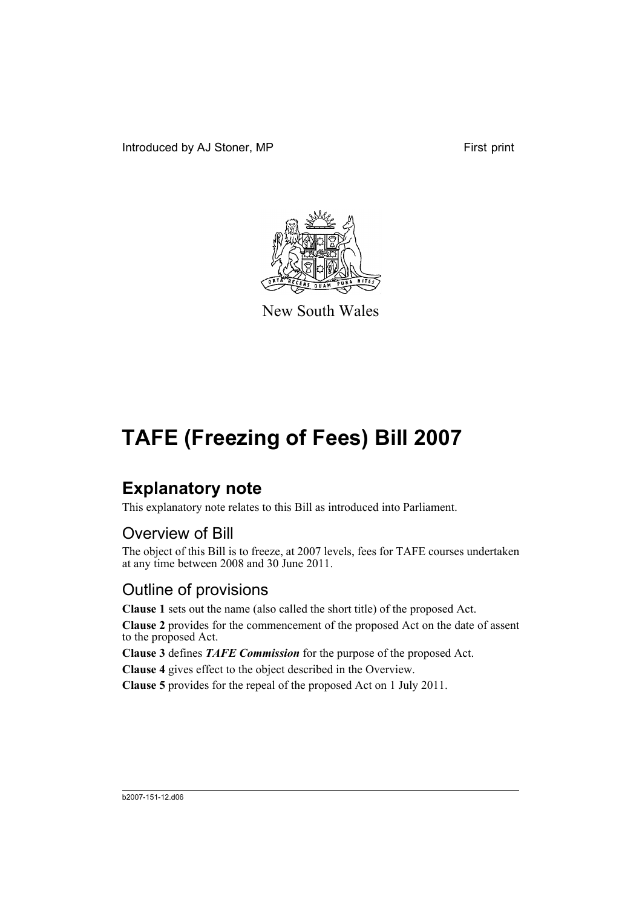Introduced by AJ Stoner, MP First print



New South Wales

# **TAFE (Freezing of Fees) Bill 2007**

## **Explanatory note**

This explanatory note relates to this Bill as introduced into Parliament.

### Overview of Bill

The object of this Bill is to freeze, at 2007 levels, fees for TAFE courses undertaken at any time between 2008 and 30 June 2011.

### Outline of provisions

**Clause 1** sets out the name (also called the short title) of the proposed Act.

**Clause 2** provides for the commencement of the proposed Act on the date of assent to the proposed Act.

**Clause 3** defines *TAFE Commission* for the purpose of the proposed Act.

**Clause 4** gives effect to the object described in the Overview.

**Clause 5** provides for the repeal of the proposed Act on 1 July 2011.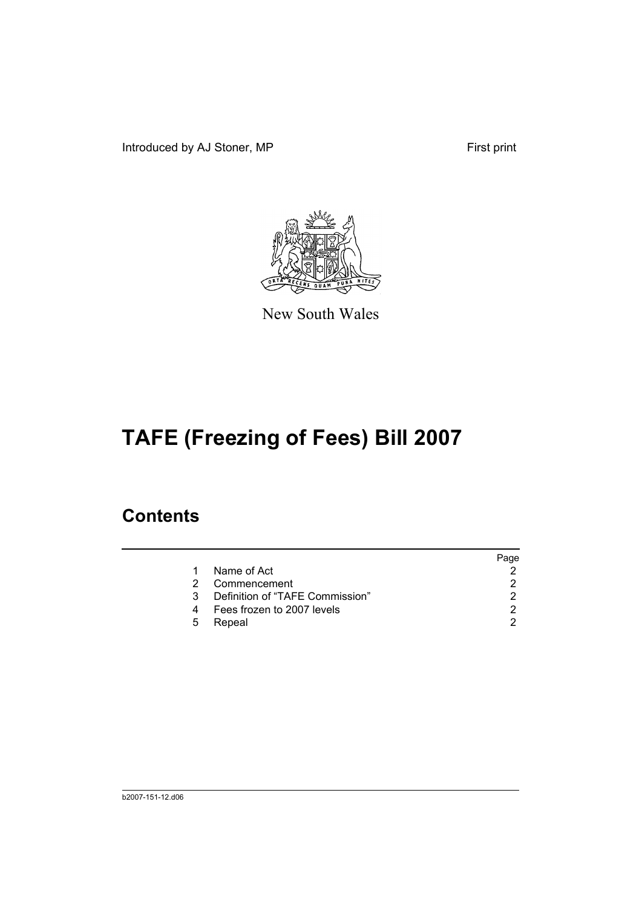Introduced by AJ Stoner, MP First print



New South Wales

# **TAFE (Freezing of Fees) Bill 2007**

### **Contents**

|                                 | Page |
|---------------------------------|------|
| Name of Act                     |      |
| Commencement                    | 2    |
| Definition of "TAFE Commission" |      |
| Fees frozen to 2007 levels      |      |
| Repeal                          |      |
|                                 |      |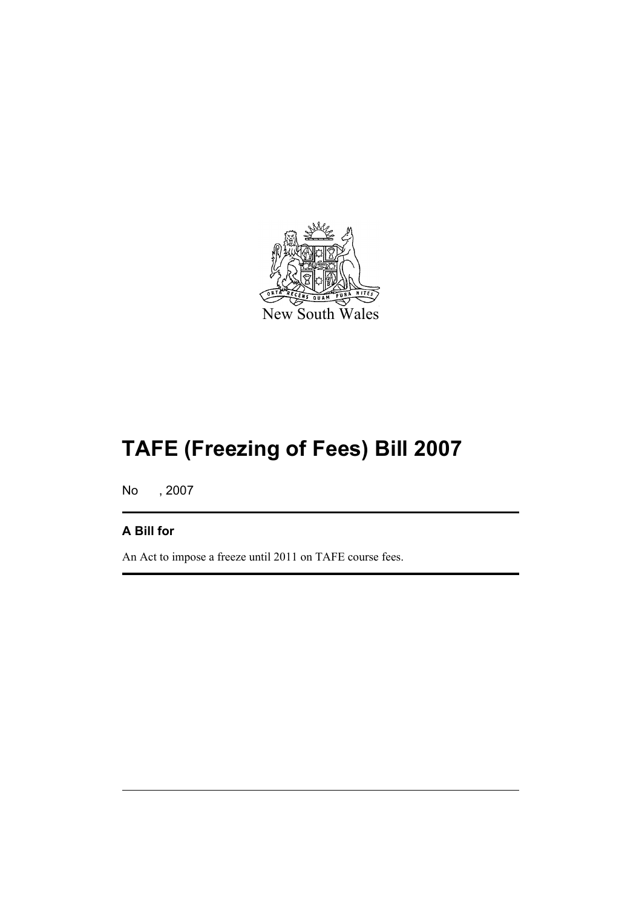

# **TAFE (Freezing of Fees) Bill 2007**

No , 2007

#### **A Bill for**

An Act to impose a freeze until 2011 on TAFE course fees.